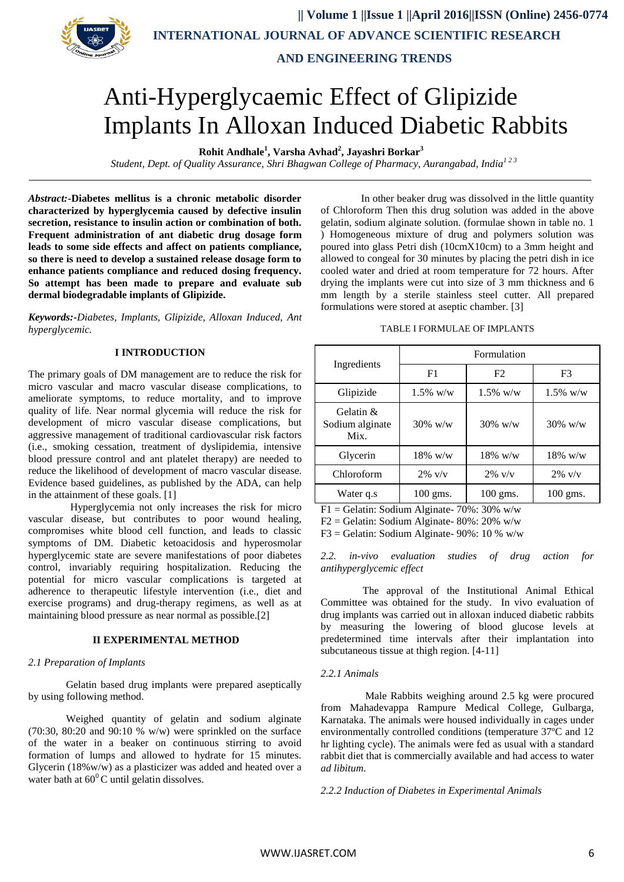

 **|| Volume 1 ||Issue 1 ||April 2016||ISSN (Online) 2456-0774 INTERNATIONAL JOURNAL OF ADVANCE SCIENTIFIC RESEARCH** 

 **AND ENGINEERING TRENDS**

# Anti-Hyperglycaemic Effect of Glipizide Implants In Alloxan Induced Diabetic Rabbits

**Rohit Andhale<sup>1</sup> , Varsha Avhad<sup>2</sup> , Jayashri Borkar<sup>3</sup>**

 *Student, Dept. of Quality Assurance, Shri Bhagwan College of Pharmacy, Aurangabad, India<sup>1</sup> 2 3*

*Abstract:-***Diabetes mellitus is a chronic metabolic disorder characterized by hyperglycemia caused by defective insulin secretion, resistance to insulin action or combination of both. Frequent administration of ant diabetic drug dosage form leads to some side effects and affect on patients compliance, so there is need to develop a sustained release dosage form to enhance patients compliance and reduced dosing frequency. So attempt has been made to prepare and evaluate sub dermal biodegradable implants of Glipizide.** 

*Keywords:-Diabetes, Implants, Glipizide, Alloxan Induced, Ant hyperglycemic.*

# **I INTRODUCTION**

The primary goals of DM management are to reduce the risk for micro vascular and macro vascular disease complications, to ameliorate symptoms, to reduce mortality, and to improve quality of life. Near normal glycemia will reduce the risk for development of micro vascular disease complications, but aggressive management of traditional cardiovascular risk factors (i.e., smoking cessation, treatment of dyslipidemia, intensive blood pressure control and ant platelet therapy) are needed to reduce the likelihood of development of macro vascular disease. Evidence based guidelines, as published by the ADA, can help in the attainment of these goals. [1]

 Hyperglycemia not only increases the risk for micro vascular disease, but contributes to poor wound healing, compromises white blood cell function, and leads to classic symptoms of DM. Diabetic ketoacidosis and hyperosmolar hyperglycemic state are severe manifestations of poor diabetes control, invariably requiring hospitalization. Reducing the potential for micro vascular complications is targeted at adherence to therapeutic lifestyle intervention (i.e., diet and exercise programs) and drug-therapy regimens, as well as at maintaining blood pressure as near normal as possible.[2]

## **II EXPERIMENTAL METHOD**

### *2.1 Preparation of Implants*

Gelatin based drug implants were prepared aseptically by using following method.

Weighed quantity of gelatin and sodium alginate (70:30, 80:20 and 90:10 % w/w) were sprinkled on the surface of the water in a beaker on continuous stirring to avoid formation of lumps and allowed to hydrate for 15 minutes. Glycerin  $(18\% \text{w/w})$  as a plasticizer was added and heated over a water bath at  $60^{\circ}$ C until gelatin dissolves.

In other beaker drug was dissolved in the little quantity of Chloroform Then this drug solution was added in the above gelatin, sodium alginate solution. (formulae shown in table no. 1 ) Homogeneous mixture of drug and polymers solution was poured into glass Petri dish (10cmX10cm) to a 3mm height and allowed to congeal for 30 minutes by placing the petri dish in ice cooled water and dried at room temperature for 72 hours. After drying the implants were cut into size of 3 mm thickness and 6 mm length by a sterile stainless steel cutter. All prepared formulations were stored at aseptic chamber. [3]

#### TABLE I FORMULAE OF IMPLANTS

|                                         | Formulation        |                    |             |  |  |  |
|-----------------------------------------|--------------------|--------------------|-------------|--|--|--|
| Ingredients                             | F1                 | F2                 | F3          |  |  |  |
| Glipizide                               | $1.5\%$ w/w        | $1.5\%$ w/w        | $1.5\%$ w/w |  |  |  |
| Gelatin $\&$<br>Sodium alginate<br>Mix. | $30\%$ w/w         | $30\%$ w/w         | $30\%$ w/w  |  |  |  |
| Glycerin                                | $18\%$ w/w         | $18\%$ w/w         | $18\%$ w/w  |  |  |  |
| Chloroform                              | $2\%$ v/v          | $2\%$ v/v          | $2\%$ v/v   |  |  |  |
| Water q.s                               | $100 \text{ gms}.$ | $100 \text{ gms}.$ | $100$ gms.  |  |  |  |

 $F1 =$  Gelatin: Sodium Alginate- 70%: 30% w/w

 $F2 =$  Gelatin: Sodium Alginate- 80%: 20% w/w

F3 = Gelatin: Sodium Alginate-  $90\%$ : 10 % w/w

*2.2. in-vivo evaluation studies of drug action for antihyperglycemic effect*

 The approval of the Institutional Animal Ethical Committee was obtained for the study. In vivo evaluation of drug implants was carried out in alloxan induced diabetic rabbits by measuring the lowering of blood glucose levels at predetermined time intervals after their implantation into subcutaneous tissue at thigh region. [4-11]

#### *2.2.1 Animals*

 Male Rabbits weighing around 2.5 kg were procured from Mahadevappa Rampure Medical College, Gulbarga, Karnataka. The animals were housed individually in cages under environmentally controlled conditions (temperature 37ºC and 12 hr lighting cycle). The animals were fed as usual with a standard rabbit diet that is commercially available and had access to water *ad libitum*.

*2.2.2 Induction of Diabetes in Experimental Animals*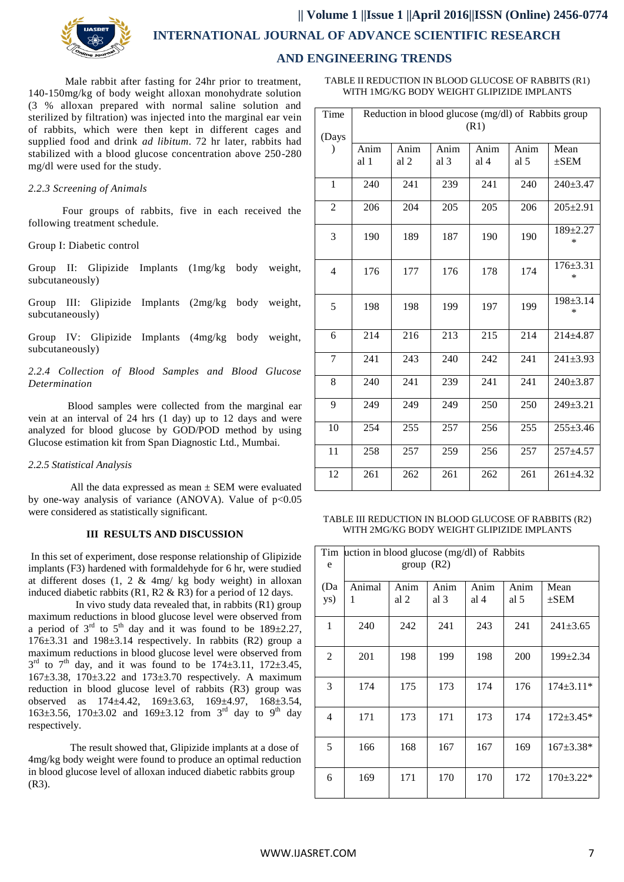

 **|| Volume 1 ||Issue 1 ||April 2016||ISSN (Online) 2456-0774 INTERNATIONAL JOURNAL OF ADVANCE SCIENTIFIC RESEARCH** 

# **AND ENGINEERING TRENDS**

 Male rabbit after fasting for 24hr prior to treatment, 140-150mg/kg of body weight alloxan monohydrate solution (3 % alloxan prepared with normal saline solution and sterilized by filtration) was injected into the marginal ear vein of rabbits, which were then kept in different cages and supplied food and drink *ad libitum*. 72 hr later, rabbits had stabilized with a blood glucose concentration above 250-280 mg/dl were used for the study.

### *2.2.3 Screening of Animals*

 Four groups of rabbits, five in each received the following treatment schedule.

Group I: Diabetic control

Group II: Glipizide Implants (1mg/kg body weight, subcutaneously)

Group III: Glipizide Implants (2mg/kg body weight, subcutaneously)

Group IV: Glipizide Implants (4mg/kg body weight, subcutaneously)

*2.2.4 Collection of Blood Samples and Blood Glucose Determination*

 Blood samples were collected from the marginal ear vein at an interval of 24 hrs (1 day) up to 12 days and were analyzed for blood glucose by GOD/POD method by using Glucose estimation kit from Span Diagnostic Ltd., Mumbai.

*2.2.5 Statistical Analysis*

All the data expressed as mean  $\pm$  SEM were evaluated by one-way analysis of variance (ANOVA). Value of  $p<0.05$ were considered as statistically significant.

# **III RESULTS AND DISCUSSION**

In this set of experiment, dose response relationship of Glipizide implants (F3) hardened with formaldehyde for 6 hr, were studied at different doses (1, 2 & 4mg/ kg body weight) in alloxan induced diabetic rabbits (R1, R2 & R3) for a period of 12 days.

 In vivo study data revealed that, in rabbits (R1) group maximum reductions in blood glucose level were observed from a period of  $3<sup>rd</sup>$  to  $5<sup>th</sup>$  day and it was found to be  $189\pm2.27$ ,  $176\pm3.31$  and  $198\pm3.14$  respectively. In rabbits (R2) group a maximum reductions in blood glucose level were observed from  $3^{\text{rd}}$  to  $7^{\text{th}}$  day, and it was found to be  $174\pm3.11$ ,  $172\pm3.45$ ,  $167 \pm 3.38$ ,  $170 \pm 3.22$  and  $173 \pm 3.70$  respectively. A maximum reduction in blood glucose level of rabbits (R3) group was observed as 174±4.42, 169±3.63, 169±4.97, 168±3.54, 163±3.56, 170±3.02 and 169±3.12 from 3<sup>rd</sup> day to 9<sup>th</sup> day respectively.

 The result showed that, Glipizide implants at a dose of 4mg/kg body weight were found to produce an optimal reduction in blood glucose level of alloxan induced diabetic rabbits group (R3).

TABLE II REDUCTION IN BLOOD GLUCOSE OF RABBITS (R1) WITH 1MG/KG BODY WEIGHT GLIPIZIDE IMPLANTS

| Time           | Reduction in blood glucose (mg/dl) of Rabbits group |      |      |      |      |                          |
|----------------|-----------------------------------------------------|------|------|------|------|--------------------------|
| (Days          | (R1)                                                |      |      |      |      |                          |
| $\mathcal{E}$  | Anim                                                | Anim | Anim | Anim | Anim | Mean                     |
|                | al 1                                                | al 2 | al 3 | al 4 | al 5 | $\pm$ SEM                |
| $\mathbf{1}$   | 240                                                 | 241  | 239  | 241  | 240  | $240 \pm 3.47$           |
| $\overline{2}$ | 206                                                 | 204  | 205  | 205  | 206  | $205 \pm 2.91$           |
| 3              | 190                                                 | 189  | 187  | 190  | 190  | 189±2.27<br>$\ast$       |
| $\overline{4}$ | 176                                                 | 177  | 176  | 178  | 174  | $176 \pm 3.31$<br>$\ast$ |
| 5              | 198                                                 | 198  | 199  | 197  | 199  | 198±3.14<br>*            |
| 6              | 214                                                 | 216  | 213  | 215  | 214  | $214 + 4.87$             |
| 7              | 241                                                 | 243  | 240  | 242  | 241  | $241 \pm 3.93$           |
| 8              | 240                                                 | 241  | 239  | 241  | 241  | $240 \pm 3.87$           |
| 9              | 249                                                 | 249  | 249  | 250  | 250  | 249±3.21                 |
| 10             | 254                                                 | 255  | 257  | 256  | 255  | $255 \pm 3.46$           |
| 11             | 258                                                 | 257  | 259  | 256  | 257  | $257 + 4.57$             |
| 12             | 261                                                 | 262  | 261  | 262  | 261  | $261 \pm 4.32$           |

TABLE III REDUCTION IN BLOOD GLUCOSE OF RABBITS (R2) WITH 2MG/KG BODY WEIGHT GLIPIZIDE IMPLANTS

| Tim<br>e       | uction in blood glucose (mg/dl) of Rabbits<br>group $(R2)$ |              |              |              |              |                   |  |
|----------------|------------------------------------------------------------|--------------|--------------|--------------|--------------|-------------------|--|
| (Da<br>ys)     | Animal<br>1                                                | Anim<br>al 2 | Anim<br>al 3 | Anim<br>al 4 | Anim<br>al 5 | Mean<br>$\pm$ SEM |  |
| 1              | 240                                                        | 242          | 241          | 243          | 241          | $241 \pm 3.65$    |  |
| $\overline{2}$ | 201                                                        | 198          | 199          | 198          | 200          | $199 \pm 2.34$    |  |
| 3              | 174                                                        | 175          | 173          | 174          | 176          | $174 \pm 3.11*$   |  |
| 4              | 171                                                        | 173          | 171          | 173          | 174          | $172 \pm 3.45*$   |  |
| 5              | 166                                                        | 168          | 167          | 167          | 169          | $167 \pm 3.38*$   |  |
| 6              | 169                                                        | 171          | 170          | 170          | 172          | $170 \pm 3.22*$   |  |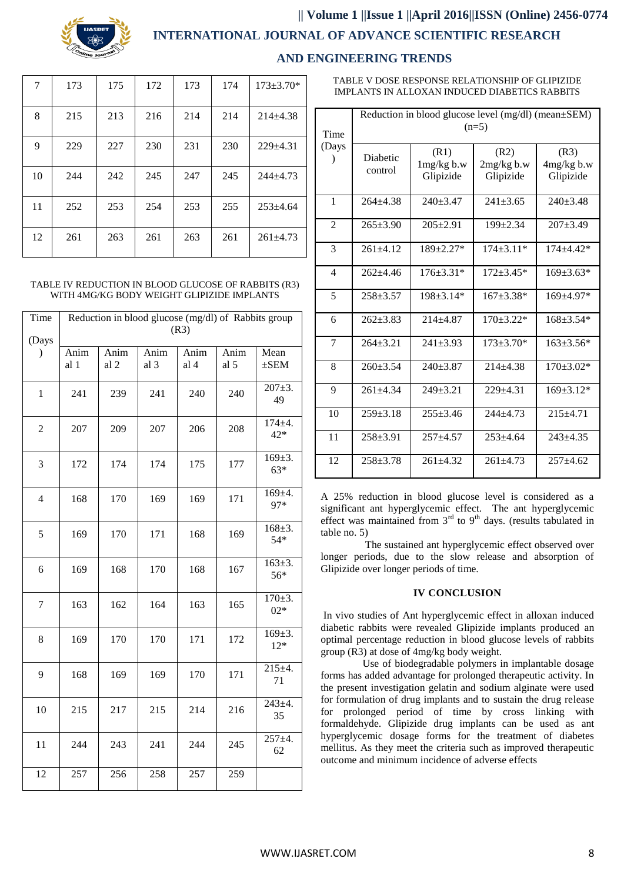

# **|| Volume 1 ||Issue 1 ||April 2016||ISSN (Online) 2456-0774**

# **INTERNATIONAL JOURNAL OF ADVANCE SCIENTIFIC RESEARCH**

# **AND ENGINEERING TRENDS**

| 7  | 173 | 175 | 172 | 173 | 174 | $173 \pm 3.70*$ |
|----|-----|-----|-----|-----|-----|-----------------|
| 8  | 215 | 213 | 216 | 214 | 214 | $214 \pm 4.38$  |
| 9  | 229 | 227 | 230 | 231 | 230 | $229+4.31$      |
| 10 | 244 | 242 | 245 | 247 | 245 | $244+4.73$      |
| 11 | 252 | 253 | 254 | 253 | 255 | $253 \pm 4.64$  |
| 12 | 261 | 263 | 261 | 263 | 261 | $261 \pm 4.73$  |

#### TABLE IV REDUCTION IN BLOOD GLUCOSE OF RABBITS (R3) WITH 4MG/KG BODY WEIGHT GLIPIZIDE IMPLANTS

| Time           | Reduction in blood glucose (mg/dl) of Rabbits group |              |              |              |              |                       |
|----------------|-----------------------------------------------------|--------------|--------------|--------------|--------------|-----------------------|
| (Days          | (R3)                                                |              |              |              |              |                       |
| $\mathcal{E}$  | Anim<br>al 1                                        | Anim<br>al 2 | Anim<br>al 3 | Anim<br>al 4 | Anim<br>al 5 | Mean<br>$\pm$ SEM     |
| $\mathbf{1}$   | 241                                                 | 239          | 241          | 240          | 240          | $207 \pm 3.$<br>49    |
| $\overline{2}$ | 207                                                 | 209          | 207          | 206          | 208          | $174 + 4.$<br>$42*$   |
| 3              | 172                                                 | 174          | 174          | 175          | 177          | $169 \pm 3.$<br>$63*$ |
| $\overline{4}$ | 168                                                 | 170          | 169          | 169          | 171          | 169±4.<br>97*         |
| 5              | 169                                                 | 170          | 171          | 168          | 169          | $168 + 3.$<br>54*     |
| 6              | 169                                                 | 168          | 170          | 168          | 167          | $163 \pm 3.$<br>56*   |
| $\tau$         | 163                                                 | 162          | 164          | 163          | 165          | $170 \pm 3.$<br>$02*$ |
| 8              | 169                                                 | 170          | 170          | 171          | 172          | $169 \pm 3.$<br>$12*$ |
| 9              | 168                                                 | 169          | 169          | 170          | 171          | $215+4.$<br>71        |
| 10             | 215                                                 | 217          | 215          | 214          | 216          | $243 + 4.$<br>35      |
| 11             | 244                                                 | 243          | 241          | 244          | 245          | $257 + 4.$<br>62      |
| 12             | 257                                                 | 256          | 258          | 257          | 259          |                       |

TABLE V DOSE RESPONSE RELATIONSHIP OF GLIPIZIDE IMPLANTS IN ALLOXAN INDUCED DIABETICS RABBITS

| Time                     | Reduction in blood glucose level (mg/dl) (mean±SEM)<br>$(n=5)$ |                                 |                                   |                                   |  |  |  |
|--------------------------|----------------------------------------------------------------|---------------------------------|-----------------------------------|-----------------------------------|--|--|--|
| (Days                    | Diabetic<br>control                                            | (R1)<br>1mg/kg b.w<br>Glipizide | (R2)<br>$2mg/kg$ b.w<br>Glipizide | (R3)<br>$4mg/kg$ b.w<br>Glipizide |  |  |  |
| 1                        | $264 + 4.38$                                                   | $240+3.47$                      | $241 + 3.65$                      | $240 \pm 3.48$                    |  |  |  |
| $\overline{2}$           | $265 + 3.90$                                                   | $205+2.91$                      | $199 + 2.34$                      | $207 + 3.49$                      |  |  |  |
| 3                        | $261 + 4.12$                                                   | $189 + 2.27*$                   | $174 + 3.11*$                     | 174±4.42*                         |  |  |  |
| $\overline{\mathcal{L}}$ | $262 + 4.46$                                                   | $176 + 3.31*$                   | $172 + 3.45*$                     | $169 + 3.63*$                     |  |  |  |
| 5                        | $258 + 3.57$                                                   | $198 + 3.14*$                   | $167 \pm 3.38*$                   | $169 + 4.97*$                     |  |  |  |
| 6                        | $262+3.83$                                                     | $214 + 4.87$                    | $170 + 3.22*$                     | 168±3.54*                         |  |  |  |
| 7                        | $264 + 3.21$                                                   | $241 + 3.93$                    | $173 + 3.70*$                     | $163 + 3.56*$                     |  |  |  |
| 8                        | $260+3.54$                                                     | $240+3.87$                      | $214 + 4.38$                      | $170 \pm 3.02*$                   |  |  |  |
| 9                        | $261 + 4.34$                                                   | $249 + 3.21$                    | $229 + 4.31$                      | $169 + 3.12*$                     |  |  |  |
| 10                       | $259 \pm 3.18$                                                 | $255+3.46$                      | 244±4.73                          | $215 + 4.71$                      |  |  |  |
| 11                       | $258 + 3.91$                                                   | $257 + 4.57$                    | $253 + 4.64$                      | 243±4.35                          |  |  |  |
| 12                       | $258 + 3.78$                                                   | $261 + 4.32$                    | $261 + 4.73$                      | $257 + 4.62$                      |  |  |  |

A 25% reduction in blood glucose level is considered as a significant ant hyperglycemic effect. The ant hyperglycemic effect was maintained from  $3<sup>rd</sup>$  to  $9<sup>th</sup>$  days. (results tabulated in table no. 5)

 The sustained ant hyperglycemic effect observed over longer periods, due to the slow release and absorption of Glipizide over longer periods of time.

#### **IV CONCLUSION**

In vivo studies of Ant hyperglycemic effect in alloxan induced diabetic rabbits were revealed Glipizide implants produced an optimal percentage reduction in blood glucose levels of rabbits group (R3) at dose of 4mg/kg body weight.

 Use of biodegradable polymers in implantable dosage forms has added advantage for prolonged therapeutic activity. In the present investigation gelatin and sodium alginate were used for formulation of drug implants and to sustain the drug release for prolonged period of time by cross linking with formaldehyde. Glipizide drug implants can be used as ant hyperglycemic dosage forms for the treatment of diabetes mellitus. As they meet the criteria such as improved therapeutic outcome and minimum incidence of adverse effects